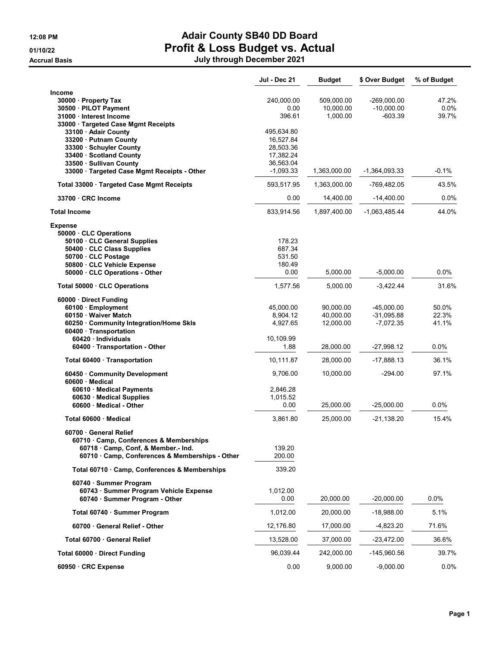Accrual Basis July through December 2021

## 12:08 PM **Adair County SB40 DD Board** 01/10/22 Profit & Loss Budget vs. Actual

| July through December 2021 |  |  |
|----------------------------|--|--|
|----------------------------|--|--|

|                                                                          | Jul - Dec 21             | <b>Budget</b> | \$ Over Budget  | % of Budget |
|--------------------------------------------------------------------------|--------------------------|---------------|-----------------|-------------|
| Income                                                                   |                          |               |                 |             |
| 30000 · Property Tax                                                     | 240,000.00               | 509,000.00    | $-269,000.00$   | 47.2%       |
| 30500 · PILOT Payment                                                    | 0.00                     | 10,000.00     | $-10,000.00$    | 0.0%        |
| 31000 · Interest Income                                                  | 396.61                   | 1,000.00      | $-603.39$       | 39.7%       |
| 33000 · Targeted Case Mgmt Receipts                                      |                          |               |                 |             |
| 33100 Adair County                                                       | 495,634.80               |               |                 |             |
| 33200 · Putnam County                                                    | 16,527.84                |               |                 |             |
| 33300 · Schuyler County                                                  | 28,503.36                |               |                 |             |
| 33400 · Scotland County                                                  | 17,382.24                |               |                 |             |
| 33500 · Sullivan County<br>33000 · Targeted Case Mgmt Receipts - Other   | 36,563.04<br>$-1.093.33$ | 1,363,000.00  | -1,364,093.33   | -0.1%       |
| Total 33000 · Targeted Case Mgmt Receipts                                |                          |               |                 | 43.5%       |
|                                                                          | 593,517.95               | 1,363,000.00  | -769,482.05     |             |
| 33700 CRC Income                                                         | 0.00                     | 14,400.00     | $-14,400.00$    | 0.0%        |
| <b>Total Income</b>                                                      | 833,914.56               | 1,897,400.00  | $-1,063,485.44$ | 44.0%       |
| <b>Expense</b>                                                           |                          |               |                 |             |
| 50000 CLC Operations                                                     | 178.23                   |               |                 |             |
| 50100 · CLC General Supplies<br>50400 · CLC Class Supplies               | 687.34                   |               |                 |             |
| 50700 · CLC Postage                                                      | 531.50                   |               |                 |             |
| 50800 · CLC Vehicle Expense                                              | 180.49                   |               |                 |             |
| 50000 · CLC Operations - Other                                           | 0.00                     | 5,000.00      | $-5,000.00$     | 0.0%        |
| Total 50000 · CLC Operations                                             | 1,577.56                 | 5,000.00      | -3,422.44       | 31.6%       |
| 60000 · Direct Funding                                                   |                          |               |                 |             |
| 60100 · Employment                                                       | 45,000.00                | 90,000.00     | $-45,000.00$    | 50.0%       |
| 60150 · Waiver Match                                                     | 8,904.12                 | 40,000.00     | $-31,095.88$    | 22.3%       |
| 60250 Community Integration/Home Skls                                    | 4,927.65                 | 12,000.00     | $-7,072.35$     | 41.1%       |
| 60400 Transportation                                                     |                          |               |                 |             |
| 60420 · Individuals                                                      | 10,109.99                |               |                 |             |
| 60400 · Transportation - Other                                           | 1.88                     | 28,000.00     | $-27,998.12$    | $0.0\%$     |
| Total 60400 · Transportation                                             | 10,111.87                | 28,000.00     | $-17,888.13$    | 36.1%       |
| 60450 Community Development<br>60600 Medical                             | 9,706.00                 | 10,000.00     | $-294.00$       | 97.1%       |
| 60610 Medical Payments                                                   | 2,846.28                 |               |                 |             |
| 60630 Medical Supplies                                                   | 1,015.52                 |               |                 |             |
| 60600 Medical - Other                                                    | 0.00                     | 25,000.00     | $-25,000.00$    | $0.0\%$     |
| Total 60600 Medical                                                      | 3,861.80                 | 25,000.00     | -21,138.20      | 15.4%       |
| 60700 General Relief                                                     |                          |               |                 |             |
| 60710 · Camp, Conferences & Memberships                                  |                          |               |                 |             |
| 60718 Camp, Conf, & Member.- Ind.                                        | 139.20                   |               |                 |             |
| 60710 · Camp, Conferences & Memberships - Other                          | 200.00                   |               |                 |             |
| Total 60710 · Camp, Conferences & Memberships                            | 339.20                   |               |                 |             |
| 60740 · Summer Program                                                   |                          |               |                 |             |
| 60743 · Summer Program Vehicle Expense<br>60740 · Summer Program - Other | 1,012.00<br>0.00         | 20,000.00     | $-20,000.00$    | 0.0%        |
| Total 60740 · Summer Program                                             | 1,012.00                 | 20,000.00     | $-18,988.00$    | 5.1%        |
| 60700 General Relief - Other                                             | 12,176.80                | 17,000.00     | $-4,823.20$     | 71.6%       |
| Total 60700 · General Relief                                             | 13,528.00                | 37,000.00     | -23,472.00      | 36.6%       |
|                                                                          | 96,039.44                | 242,000.00    | -145,960.56     | 39.7%       |
| Total 60000 Direct Funding                                               |                          |               |                 |             |
| 60950 · CRC Expense                                                      | 0.00                     | 9,000.00      | $-9,000.00$     | 0.0%        |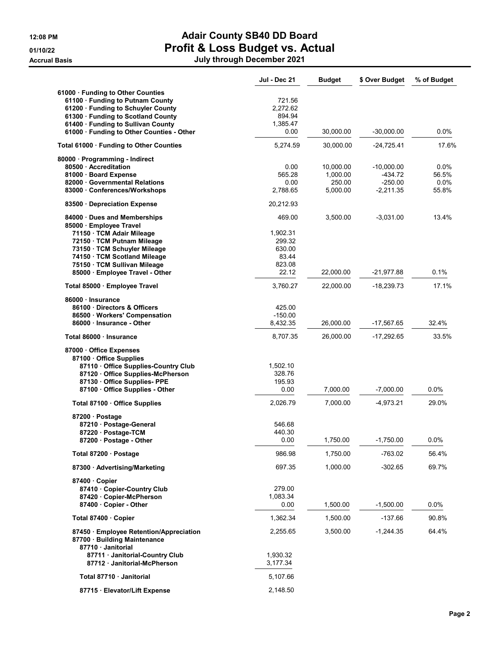| 12:08 PM             |
|----------------------|
| 01/10/22             |
| <b>Accrual Basis</b> |

## 12:08 PM **Adair County SB40 DD Board** 01/10/22 **Profit & Loss Budget vs. Actual**

| July through December 2021<br>Accrual Basis | - - - - - - - - - |  |
|---------------------------------------------|-------------------|--|
|                                             |                   |  |

|                                                                                           | Jul - Dec 21       | <b>Budget</b> | \$ Over Budget | % of Budget |
|-------------------------------------------------------------------------------------------|--------------------|---------------|----------------|-------------|
| 61000 · Funding to Other Counties                                                         |                    |               |                |             |
| 61100 · Funding to Putnam County                                                          | 721.56             |               |                |             |
| 61200 · Funding to Schuyler County                                                        | 2.272.62           |               |                |             |
| 61300 · Funding to Scotland County                                                        | 894.94             |               |                |             |
| 61400 Funding to Sullivan County                                                          | 1,385.47           |               |                |             |
| 61000 · Funding to Other Counties - Other                                                 | 0.00               | 30,000.00     | -30,000.00     | $0.0\%$     |
| Total 61000 · Funding to Other Counties                                                   | 5,274.59           | 30,000.00     | $-24,725.41$   | 17.6%       |
| 80000 · Programming - Indirect                                                            |                    |               |                |             |
| 80500 Accreditation                                                                       | 0.00               | 10,000.00     | $-10,000.00$   | $0.0\%$     |
| 81000 · Board Expense                                                                     | 565.28             | 1,000.00      | -434.72        | 56.5%       |
| 82000 Governmental Relations                                                              | 0.00               | 250.00        | $-250.00$      | 0.0%        |
| 83000 Conferences/Workshops                                                               | 2,788.65           | 5,000.00      | $-2,211.35$    | 55.8%       |
| 83500 Depreciation Expense                                                                | 20,212.93          |               |                |             |
| 84000 Dues and Memberships                                                                | 469.00             | 3,500.00      | $-3,031.00$    | 13.4%       |
| 85000 Employee Travel                                                                     |                    |               |                |             |
| 71150 · TCM Adair Mileage<br>72150 · TCM Putnam Mileage                                   | 1,902.31<br>299.32 |               |                |             |
| 73150 · TCM Schuyler Mileage                                                              | 630.00             |               |                |             |
| 74150 · TCM Scotland Mileage                                                              | 83.44              |               |                |             |
| 75150 · TCM Sullivan Mileage                                                              | 823.08             |               |                |             |
| 85000 · Employee Travel - Other                                                           | 22.12              | 22,000.00     | -21,977.88     | 0.1%        |
|                                                                                           |                    |               |                |             |
| Total 85000 · Employee Travel                                                             | 3,760.27           | 22,000.00     | $-18,239.73$   | 17.1%       |
| 86000 Insurance                                                                           |                    |               |                |             |
| 86100 Directors & Officers                                                                | 425.00             |               |                |             |
| 86500 Workers' Compensation                                                               | $-150.00$          |               |                |             |
| 86000 Insurance - Other                                                                   | 8,432.35           | 26,000.00     | -17,567.65     | 32.4%       |
| Total 86000 · Insurance                                                                   | 8,707.35           | 26,000.00     | -17,292.65     | 33.5%       |
| 87000 Office Expenses                                                                     |                    |               |                |             |
| 87100 Office Supplies                                                                     |                    |               |                |             |
| 87110 Office Supplies-Country Club                                                        | 1,502.10           |               |                |             |
| 87120 Office Supplies-McPherson                                                           | 328.76             |               |                |             |
| 87130 Office Supplies- PPE                                                                | 195.93             |               |                |             |
| 87100 Office Supplies - Other                                                             | 0.00               | 7,000.00      | $-7,000.00$    | $0.0\%$     |
| Total 87100 Office Supplies                                                               | 2,026.79           | 7,000.00      | $-4,973.21$    | 29.0%       |
| 87200 · Postage                                                                           |                    |               |                |             |
| 87210 · Postage-General                                                                   | 546.68             |               |                |             |
| 87220 · Postage-TCM                                                                       | 440.30             |               |                |             |
| 87200 · Postage - Other                                                                   | 0.00               | 1,750.00      | $-1,750.00$    | 0.0%        |
| Total 87200 · Postage                                                                     | 986.98             | 1,750.00      | $-763.02$      | 56.4%       |
| 87300 Advertising/Marketing                                                               | 697.35             | 1,000.00      | $-302.65$      | 69.7%       |
| 87400 Copier                                                                              |                    |               |                |             |
| 87410 Copier-Country Club                                                                 | 279.00             |               |                |             |
| 87420 Copier-McPherson                                                                    | 1,083.34           |               |                |             |
| 87400 Copier - Other                                                                      | 0.00               | 1,500.00      | $-1,500.00$    | 0.0%        |
| Total 87400 · Copier                                                                      | 1,362.34           | 1,500.00      | $-137.66$      | 90.8%       |
| 87450 Employee Retention/Appreciation<br>87700 · Building Maintenance<br>87710 Janitorial | 2,255.65           | 3,500.00      | -1,244.35      | 64.4%       |
| 87711 · Janitorial-Country Club                                                           | 1,930.32           |               |                |             |
| 87712 Janitorial-McPherson                                                                | 3,177.34           |               |                |             |
| Total 87710 · Janitorial                                                                  | 5,107.66           |               |                |             |
| 87715 · Elevator/Lift Expense                                                             | 2,148.50           |               |                |             |
|                                                                                           |                    |               |                |             |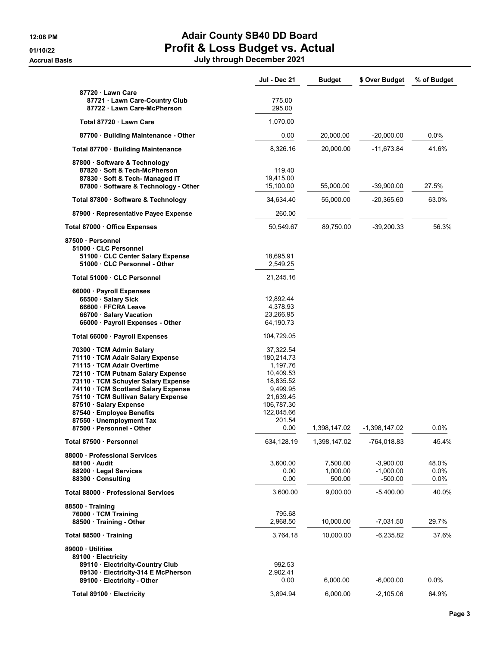## 12:08 PM **Adair County SB40 DD Board** 01/10/22 **Profit & Loss Budget vs. Actual** Accrual Basis July through December 2021

|                                                                                                                                                                                                                                                                                                                                                                                                                                                                                                                    | Jul - Dec 21                                                                                                                                                                                  | <b>Budget</b>                  | \$ Over Budget                          | % of Budget           |
|--------------------------------------------------------------------------------------------------------------------------------------------------------------------------------------------------------------------------------------------------------------------------------------------------------------------------------------------------------------------------------------------------------------------------------------------------------------------------------------------------------------------|-----------------------------------------------------------------------------------------------------------------------------------------------------------------------------------------------|--------------------------------|-----------------------------------------|-----------------------|
| 87720 Lawn Care<br>87721 · Lawn Care-Country Club<br>87722 Lawn Care-McPherson                                                                                                                                                                                                                                                                                                                                                                                                                                     | 775.00<br>295.00                                                                                                                                                                              |                                |                                         |                       |
| Total 87720 · Lawn Care                                                                                                                                                                                                                                                                                                                                                                                                                                                                                            | 1,070.00                                                                                                                                                                                      |                                |                                         |                       |
| 87700 · Building Maintenance - Other                                                                                                                                                                                                                                                                                                                                                                                                                                                                               | 0.00                                                                                                                                                                                          | 20,000.00                      | $-20,000.00$                            | 0.0%                  |
| Total 87700 · Building Maintenance                                                                                                                                                                                                                                                                                                                                                                                                                                                                                 | 8,326.16                                                                                                                                                                                      | 20,000.00                      | $-11,673.84$                            | 41.6%                 |
| 87800 · Software & Technology<br>87820 Soft & Tech-McPherson<br>87830 · Soft & Tech- Managed IT<br>87800 · Software & Technology - Other                                                                                                                                                                                                                                                                                                                                                                           | 119.40<br>19,415.00<br>15,100.00                                                                                                                                                              | 55,000.00                      | $-39,900.00$                            | 27.5%                 |
| Total 87800 · Software & Technology                                                                                                                                                                                                                                                                                                                                                                                                                                                                                | 34,634.40                                                                                                                                                                                     | 55,000.00                      | $-20,365.60$                            | 63.0%                 |
| 87900 · Representative Payee Expense                                                                                                                                                                                                                                                                                                                                                                                                                                                                               | 260.00                                                                                                                                                                                        |                                |                                         |                       |
| Total 87000 · Office Expenses                                                                                                                                                                                                                                                                                                                                                                                                                                                                                      | 50,549.67                                                                                                                                                                                     | 89,750.00                      | $-39,200.33$                            | 56.3%                 |
| 87500 · Personnel<br>51000 CLC Personnel<br>51100 · CLC Center Salary Expense<br>51000 CLC Personnel - Other                                                                                                                                                                                                                                                                                                                                                                                                       | 18,695.91<br>2,549.25                                                                                                                                                                         |                                |                                         |                       |
| Total 51000 · CLC Personnel                                                                                                                                                                                                                                                                                                                                                                                                                                                                                        | 21,245.16                                                                                                                                                                                     |                                |                                         |                       |
| 66000 · Payroll Expenses<br>66500 · Salary Sick<br>66600 · FFCRA Leave<br>66700 · Salary Vacation<br>66000 · Payroll Expenses - Other<br>Total 66000 · Payroll Expenses<br>70300 · TCM Admin Salary<br>71110 · TCM Adair Salary Expense<br>71115 · TCM Adair Overtime<br>72110 · TCM Putnam Salary Expense<br>73110 · TCM Schuyler Salary Expense<br>74110 · TCM Scotland Salary Expense<br>75110 · TCM Sullivan Salary Expense<br>87510 · Salary Expense<br>87540 · Employee Benefits<br>87550 · Unemployment Tax | 12,892.44<br>4,378.93<br>23,266.95<br>64,190.73<br>104,729.05<br>37,322.54<br>180,214.73<br>1,197.76<br>10,409.53<br>18,835.52<br>9,499.95<br>21,639.45<br>106,787.30<br>122,045.66<br>201.54 |                                |                                         |                       |
| 87500 - Personnel - Other<br>Total 87500 · Personnel                                                                                                                                                                                                                                                                                                                                                                                                                                                               | 0.00<br>634,128.19                                                                                                                                                                            | 1,398,147.02<br>1,398,147.02   | -1,398,147.02<br>-764,018.83            | 0.0%<br>45.4%         |
| 88000 Professional Services<br>88100 Audit<br>88200 · Legal Services<br>88300 Consulting                                                                                                                                                                                                                                                                                                                                                                                                                           | 3,600.00<br>0.00<br>0.00                                                                                                                                                                      | 7,500.00<br>1,000.00<br>500.00 | $-3,900.00$<br>$-1,000.00$<br>$-500.00$ | 48.0%<br>0.0%<br>0.0% |
| Total 88000 · Professional Services                                                                                                                                                                                                                                                                                                                                                                                                                                                                                | 3,600.00                                                                                                                                                                                      | 9,000.00                       | $-5,400.00$                             | 40.0%                 |
| 88500 Training<br>76000 · TCM Training<br>88500 Training - Other                                                                                                                                                                                                                                                                                                                                                                                                                                                   | 795.68<br>2,968.50                                                                                                                                                                            | 10,000.00                      | $-7,031.50$                             | 29.7%                 |
| Total 88500 Training                                                                                                                                                                                                                                                                                                                                                                                                                                                                                               | 3,764.18                                                                                                                                                                                      | 10,000.00                      | $-6,235.82$                             | 37.6%                 |
| 89000 Utilities<br>89100 · Electricity<br>89110 · Electricity-Country Club<br>89130 Electricity-314 E McPherson<br>89100 Electricity - Other                                                                                                                                                                                                                                                                                                                                                                       | 992.53<br>2,902.41<br>0.00                                                                                                                                                                    | 6,000.00                       | $-6,000.00$                             | 0.0%                  |
| Total 89100 · Electricity                                                                                                                                                                                                                                                                                                                                                                                                                                                                                          | 3,894.94                                                                                                                                                                                      | 6,000.00                       | $-2,105.06$                             | 64.9%                 |